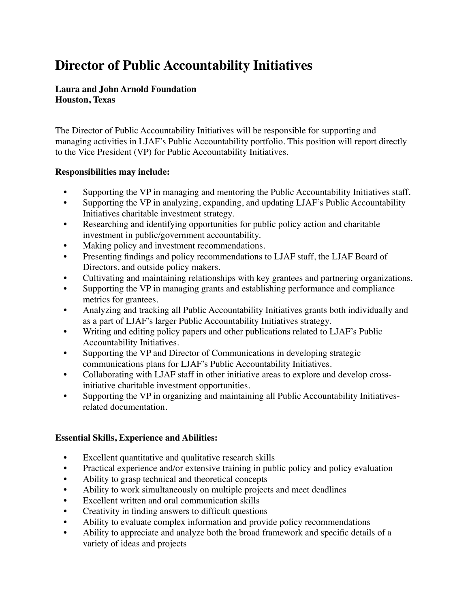# **Director of Public Accountability Initiatives**

#### **Laura and John Arnold Foundation Houston, Texas**

The Director of Public Accountability Initiatives will be responsible for supporting and managing activities in LJAF's Public Accountability portfolio. This position will report directly to the Vice President (VP) for Public Accountability Initiatives.

#### **Responsibilities may include:**

- Supporting the VP in managing and mentoring the Public Accountability Initiatives staff.
- Supporting the VP in analyzing, expanding, and updating LJAF's Public Accountability Initiatives charitable investment strategy.
- Researching and identifying opportunities for public policy action and charitable investment in public/government accountability.
- Making policy and investment recommendations.
- Presenting findings and policy recommendations to LJAF staff, the LJAF Board of Directors, and outside policy makers.
- Cultivating and maintaining relationships with key grantees and partnering organizations.
- Supporting the VP in managing grants and establishing performance and compliance metrics for grantees.
- Analyzing and tracking all Public Accountability Initiatives grants both individually and as a part of LJAF's larger Public Accountability Initiatives strategy.
- Writing and editing policy papers and other publications related to LJAF's Public Accountability Initiatives.
- Supporting the VP and Director of Communications in developing strategic communications plans for LJAF's Public Accountability Initiatives.
- Collaborating with LJAF staff in other initiative areas to explore and develop crossinitiative charitable investment opportunities.
- Supporting the VP in organizing and maintaining all Public Accountability Initiativesrelated documentation.

## **Essential Skills, Experience and Abilities:**

- Excellent quantitative and qualitative research skills
- Practical experience and/or extensive training in public policy and policy evaluation
- Ability to grasp technical and theoretical concepts
- Ability to work simultaneously on multiple projects and meet deadlines
- Excellent written and oral communication skills
- Creativity in finding answers to difficult questions
- Ability to evaluate complex information and provide policy recommendations
- Ability to appreciate and analyze both the broad framework and specific details of a variety of ideas and projects